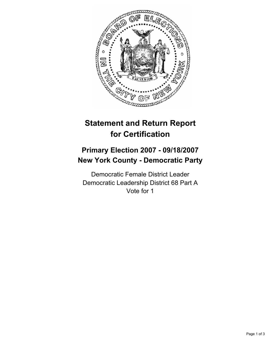

# **Statement and Return Report for Certification**

## **Primary Election 2007 - 09/18/2007 New York County - Democratic Party**

Democratic Female District Leader Democratic Leadership District 68 Part A Vote for 1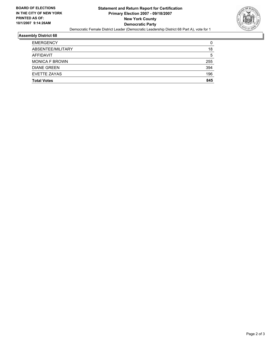

#### **Assembly District 68**

| <b>EMERGENCY</b>      |     |
|-----------------------|-----|
| ABSENTEE/MILITARY     | 18  |
| AFFIDAVIT             | 5   |
| <b>MONICA F BROWN</b> | 255 |
| <b>DIANE GREEN</b>    | 394 |
| EVETTE ZAYAS          | 196 |
| <b>Total Votes</b>    | 845 |